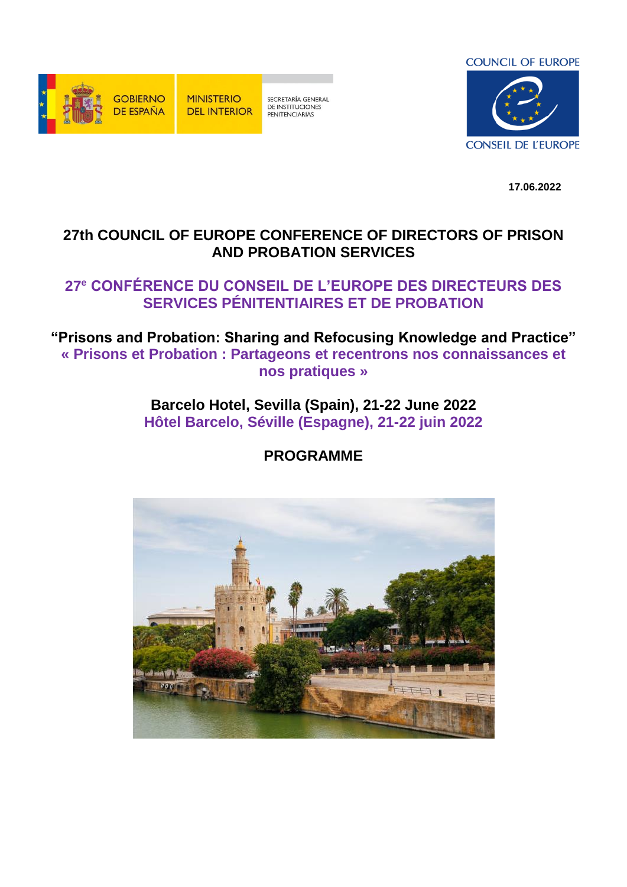

**MINISTERIO DEL INTERIOR** 

SECRETARÍA GENERAL DE INSTITUCIONES<br>PENITENCIARIAS



**17.06.2022**

# **27th COUNCIL OF EUROPE CONFERENCE OF DIRECTORS OF PRISON AND PROBATION SERVICES**

# **27<sup>e</sup> CONFÉRENCE DU CONSEIL DE L'EUROPE DES DIRECTEURS DES SERVICES PÉNITENTIAIRES ET DE PROBATION**

**"Prisons and Probation: Sharing and Refocusing Knowledge and Practice" « Prisons et Probation : Partageons et recentrons nos connaissances et nos pratiques »**

> **[Barcelo Hotel,](https://www.barcelo.com/en-es/barcelo-sevilla-renacimiento/?gclid=EAIaIQobChMIr_2A5o679gIVEeJ3Ch0b0werEAAYASAAEgKAh_D_BwE) Sevilla (Spain), 21-22 June 2022 Hôtel Barcelo, Séville (Espagne), 21-22 juin 2022**

> > **PROGRAMME**

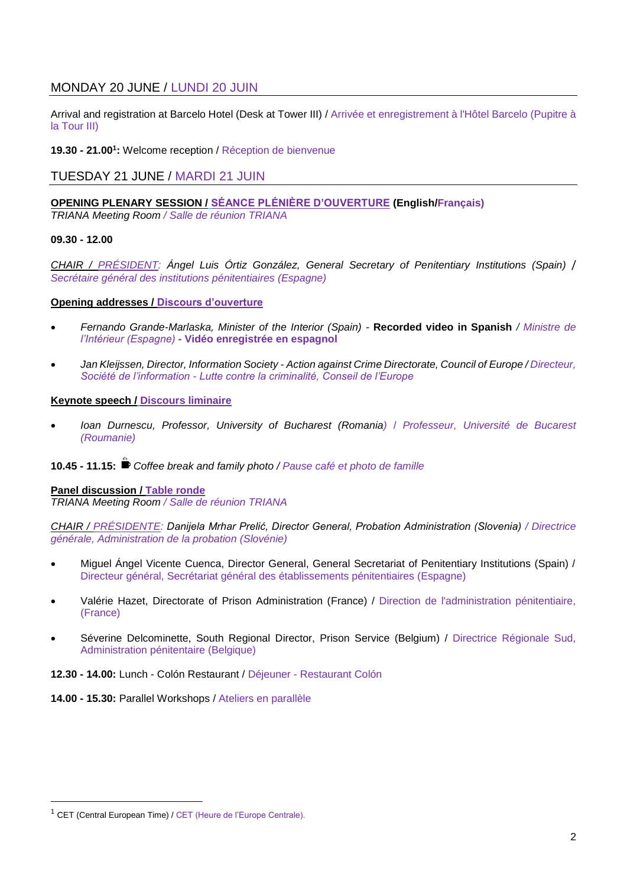# MONDAY 20 JUNE / LUNDI 20 JUIN

Arrival and registration at Barcelo Hotel (Desk at Tower III) / Arrivée et enregistrement à l'Hôtel Barcelo (Pupitre à la Tour III)

**19.30 - 21.00<sup>1</sup> :** Welcome reception / Réception de bienvenue

# TUESDAY 21 JUNE / MARDI 21 JUIN

# **OPENING PLENARY SESSION / SÉANCE PLÉNIÈRE D'OUVERTURE (English/Français)**

*TRIANA Meeting Room / Salle de réunion TRIANA*

# **09.30 - 12.00**

*CHAIR / PRÉSIDENT: Ángel Luis Órtiz González, General Secretary of Penitentiary Institutions (Spain)* / *Secrétaire général des institutions pénitentiaires (Espagne)*

# **Opening addresses / Discours d'ouverture**

- *Fernando Grande-Marlaska, Minister of the Interior (Spain) -* **Recorded video in Spanish** */ Ministre de l'Intérieur (Espagne)* **- Vidéo enregistrée en espagnol**
- *Jan Kleijssen, Director, Information Society - Action against Crime Directorate, Council of Europe / Directeur, Société de l'information - Lutte contre la criminalité, Conseil de l'Europe*

# **Keynote speech / Discours liminaire**

 *Ioan Durnescu, Professor, University of Bucharest (Romania)* / *Professeur, Université de Bucarest (Roumanie)*

# **10.45 - 11.15:** *Coffee break and family photo / Pause café et photo de famille*

# **Panel discussion / Table ronde**

*TRIANA Meeting Room / Salle de réunion TRIANA*

*CHAIR / PRÉSIDENTE: Danijela Mrhar Prelić, Director General, Probation Administration (Slovenia) / Directrice générale, Administration de la probation (Slovénie)*

- Miguel Ángel Vicente Cuenca, Director General, General Secretariat of Penitentiary Institutions (Spain) / Directeur général, Secrétariat général des établissements pénitentiaires (Espagne)
- Valérie Hazet, Directorate of Prison Administration (France) / Direction de l'administration pénitentiaire, (France)
- Séverine Delcominette, South Regional Director, Prison Service (Belgium) / Directrice Régionale Sud, Administration pénitentaire (Belgique)

**12.30 - 14.00:** Lunch - Colón Restaurant / Déjeuner - Restaurant Colón

**14.00 - 15.30:** Parallel Workshops / Ateliers en parallèle

 $\overline{a}$ 

<sup>1</sup> CET (Central European Time) / CET (Heure de l'Europe Centrale).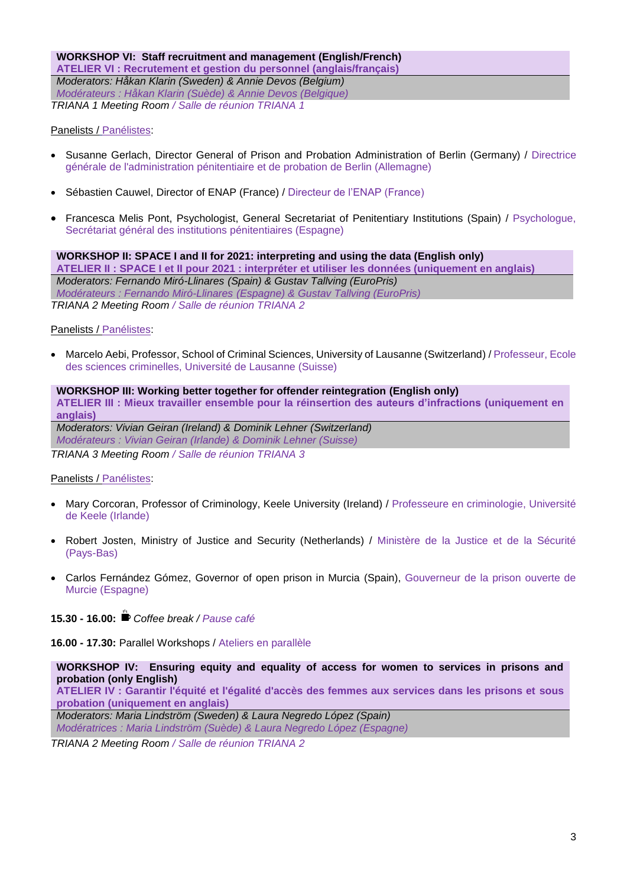**WORKSHOP VI: Staff recruitment and management (English/French) ATELIER VI : Recrutement et gestion du personnel (anglais/français)** *Moderators: Håkan Klarin (Sweden) & Annie Devos (Belgium) Modérateurs : Håkan Klarin (Suède) & Annie Devos (Belgique) TRIANA 1 Meeting Room / Salle de réunion TRIANA 1*

Panelists / Panélistes:

- Susanne Gerlach, Director General of Prison and Probation Administration of Berlin (Germany) / Directrice générale de l'administration pénitentiaire et de probation de Berlin (Allemagne)
- Sébastien Cauwel, Director of ENAP (France) / Directeur de l'ENAP (France)
- Francesca Melis Pont, Psychologist, General Secretariat of Penitentiary Institutions (Spain) / Psychologue, Secrétariat général des institutions pénitentiaires (Espagne)

#### **WORKSHOP II: SPACE I and II for 2021: interpreting and using the data (English only)**

**ATELIER II : SPACE I et II pour 2021 : interpréter et utiliser les données (uniquement en anglais)** *Moderators: Fernando Miró-Llinares (Spain) & Gustav Tallving (EuroPris) Modérateurs : Fernando Miró-Llinares (Espagne) & Gustav Tallving (EuroPris) TRIANA 2 Meeting Room / Salle de réunion TRIANA 2*

Panelists / Panélistes:

 Marcelo Aebi, Professor, School of Criminal Sciences, University of Lausanne (Switzerland) / Professeur, Ecole des sciences criminelles, Université de Lausanne (Suisse)

#### **WORKSHOP III: Working better together for offender reintegration (English only) ATELIER III : Mieux travailler ensemble pour la réinsertion des auteurs d'infractions (uniquement en anglais)**

*Moderators: Vivian Geiran (Ireland) & Dominik Lehner (Switzerland)* 

*Modérateurs : Vivian Geiran (Irlande) & Dominik Lehner (Suisse)*

*TRIANA 3 Meeting Room / Salle de réunion TRIANA 3*

# Panelists / Panélistes:

- Mary Corcoran, Professor of Criminology, Keele University (Ireland) / Professeure en criminologie, Université de Keele (Irlande)
- Robert Josten, Ministry of Justice and Security (Netherlands) / Ministère de la Justice et de la Sécurité (Pays-Bas)
- Carlos Fernández Gómez, Governor of open prison in Murcia (Spain), Gouverneur de la prison ouverte de Murcie (Espagne)

**15.30 - 16.00:** *Coffee break / Pause café* 

**16.00 - 17.30:** Parallel Workshops / Ateliers en parallèle

#### **WORKSHOP IV: Ensuring equity and equality of access for women to services in prisons and probation (only English)**

**ATELIER IV : Garantir l'équité et l'égalité d'accès des femmes aux services dans les prisons et sous probation (uniquement en anglais)**

*Moderators: Maria Lindström (Sweden) & Laura Negredo López (Spain) Modératrices : Maria Lindström (Suède) & Laura Negredo López (Espagne)*

*TRIANA 2 Meeting Room / Salle de réunion TRIANA 2*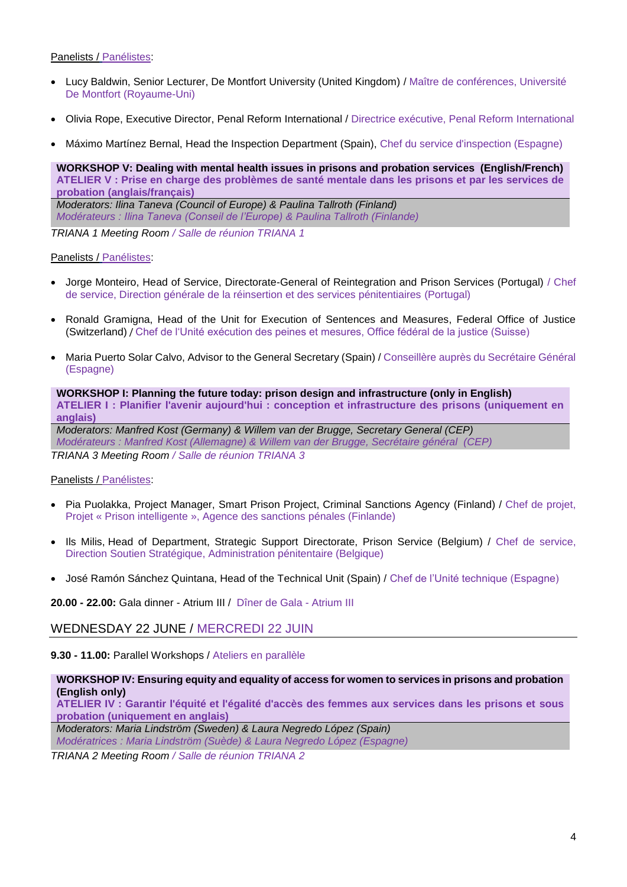# Panelists / Panélistes:

- Lucy Baldwin, Senior Lecturer, De Montfort University (United Kingdom) / Maître de conférences, Université De Montfort (Royaume-Uni)
- Olivia Rope, Executive Director, Penal Reform International / Directrice exécutive, Penal Reform International
- Máximo Martínez Bernal, Head the Inspection Department (Spain), Chef du service d'inspection (Espagne)

**WORKSHOP V: Dealing with mental health issues in prisons and probation services (English/French) ATELIER V : Prise en charge des problèmes de santé mentale dans les prisons et par les services de probation (anglais/français)** *Moderators: Ilina Taneva (Council of Europe) & Paulina Tallroth (Finland)*

*Modérateurs : Ilina Taneva (Conseil de l'Europe) & Paulina Tallroth (Finlande)*

*TRIANA 1 Meeting Room / Salle de réunion TRIANA 1*

#### Panelists / Panélistes:

- Jorge Monteiro, Head of Service, Directorate-General of Reintegration and Prison Services (Portugal) / Chef de service, Direction générale de la réinsertion et des services pénitentiaires (Portugal)
- Ronald Gramigna, Head of the Unit for Execution of Sentences and Measures, Federal Office of Justice (Switzerland) / Chef de l'Unité exécution des peines et mesures, Office fédéral de la justice (Suisse)
- Maria Puerto Solar Calvo, Advisor to the General Secretary (Spain) / Conseillère auprès du Secrétaire Général (Espagne)

**WORKSHOP I: Planning the future today: prison design and infrastructure (only in English) ATELIER I : Planifier l'avenir aujourd'hui : conception et infrastructure des prisons (uniquement en anglais)**

*Moderators: Manfred Kost (Germany) & Willem van der Brugge, Secretary General (CEP) Modérateurs : Manfred Kost (Allemagne) & Willem van der Brugge, Secrétaire général (CEP) TRIANA 3 Meeting Room / Salle de réunion TRIANA 3*

# Panelists / Panélistes:

- Pia Puolakka, Project Manager, Smart Prison Project, Criminal Sanctions Agency (Finland) / Chef de projet, Projet « Prison intelligente », Agence des sanctions pénales (Finlande)
- Ils Milis, Head of Department, Strategic Support Directorate, Prison Service (Belgium) / Chef de service, Direction Soutien Stratégique, Administration pénitentaire (Belgique)
- José Ramón Sánchez Quintana, Head of the Technical Unit (Spain) / Chef de l'Unité technique (Espagne)

**20.00 - 22.00:** Gala dinner - Atrium III / Dîner de Gala - Atrium III

# WEDNESDAY 22 JUNE / MERCREDI 22 JUIN

**9.30 - 11.00:** Parallel Workshops / Ateliers en parallèle

#### **WORKSHOP IV: Ensuring equity and equality of access for women to services in prisons and probation (English only)**

**ATELIER IV : Garantir l'équité et l'égalité d'accès des femmes aux services dans les prisons et sous probation (uniquement en anglais)**

*Moderators: Maria Lindström (Sweden) & Laura Negredo López (Spain)*

*Modératrices : Maria Lindström (Suède) & Laura Negredo López (Espagne)*

*TRIANA 2 Meeting Room / Salle de réunion TRIANA 2*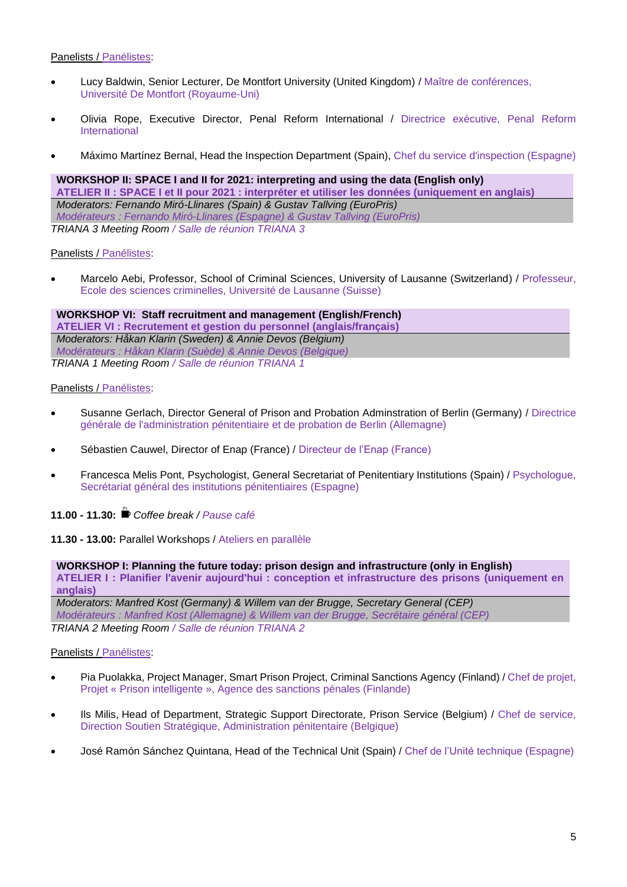#### Panelists / Panélistes:

- Lucy Baldwin, Senior Lecturer, De Montfort University (United Kingdom) / Maître de conférences, Université De Montfort (Royaume-Uni)
- Olivia Rope, Executive Director, Penal Reform International / Directrice exécutive, Penal Reform International
- Máximo Martínez Bernal, Head the Inspection Department (Spain), Chef du service d'inspection (Espagne)

**WORKSHOP II: SPACE I and II for 2021: interpreting and using the data (English only) ATELIER II : SPACE I et II pour 2021 : interpréter et utiliser les données (uniquement en anglais)** *Moderators: Fernando Miró-Llinares (Spain) & Gustav Tallving (EuroPris) Modérateurs : Fernando Miró-Llinares (Espagne) & Gustav Tallving (EuroPris) TRIANA 3 Meeting Room / Salle de réunion TRIANA 3*

# Panelists / Panélistes:

 Marcelo Aebi, Professor, School of Criminal Sciences, University of Lausanne (Switzerland) / Professeur, Ecole des sciences criminelles, Université de Lausanne (Suisse)

**WORKSHOP VI: Staff recruitment and management (English/French) ATELIER VI : Recrutement et gestion du personnel (anglais/français)** *Moderators: Håkan Klarin (Sweden) & Annie Devos (Belgium) Modérateurs : Håkan Klarin (Suède) & Annie Devos (Belgique) TRIANA 1 Meeting Room / Salle de réunion TRIANA 1*

#### Panelists / Panélistes:

- Susanne Gerlach, Director General of Prison and Probation Adminstration of Berlin (Germany) / Directrice générale de l'administration pénitentiaire et de probation de Berlin (Allemagne)
- Sébastien Cauwel, Director of Enap (France) / Directeur de l'Enap (France)
- Francesca Melis Pont, Psychologist, General Secretariat of Penitentiary Institutions (Spain) / Psychologue, Secrétariat général des institutions pénitentiaires (Espagne)

**11.00 - 11.30:** *Coffee break / Pause café*

**11.30 - 13.00:** Parallel Workshops / Ateliers en parallèle

#### **WORKSHOP I: Planning the future today: prison design and infrastructure (only in English)**

**ATELIER I : Planifier l'avenir aujourd'hui : conception et infrastructure des prisons (uniquement en anglais)**

*Moderators: Manfred Kost (Germany) & Willem van der Brugge, Secretary General (CEP) Modérateurs : Manfred Kost (Allemagne) & Willem van der Brugge, Secrétaire général (CEP) TRIANA 2 Meeting Room / Salle de réunion TRIANA 2*

# Panelists / Panélistes:

- Pia Puolakka, Project Manager, Smart Prison Project, Criminal Sanctions Agency (Finland) / Chef de projet, Projet « Prison intelligente », Agence des sanctions pénales (Finlande)
- Ils Milis, Head of Department, Strategic Support Directorate, Prison Service (Belgium) / Chef de service, Direction Soutien Stratégique, Administration pénitentaire (Belgique)
- José Ramón Sánchez Quintana, Head of the Technical Unit (Spain) / Chef de l'Unité technique (Espagne)